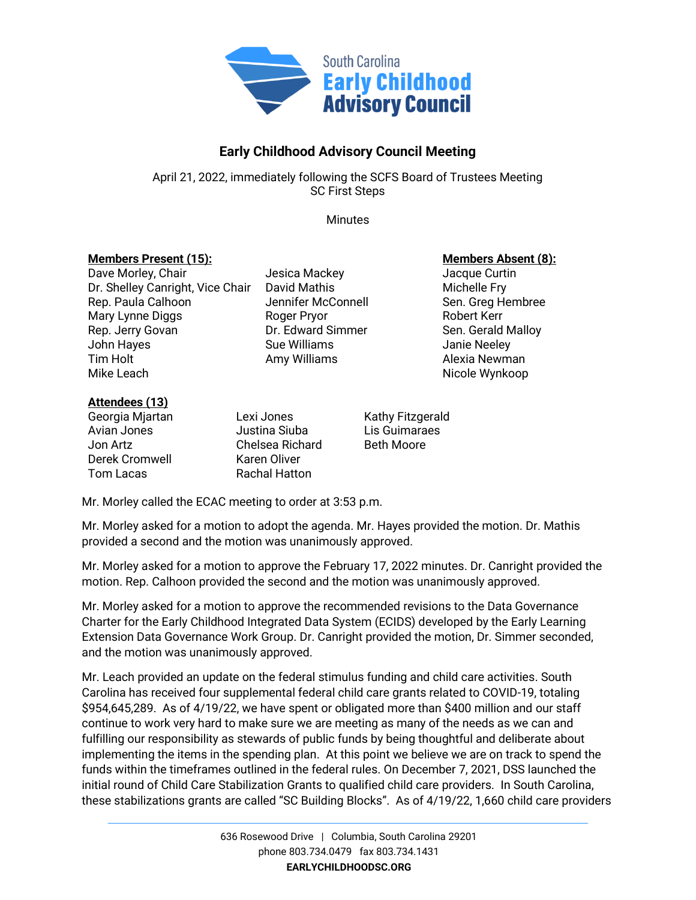

## **Early Childhood Advisory Council Meeting**

April 21, 2022, immediately following the SCFS Board of Trustees Meeting SC First Steps

**Minutes** 

## **Members Present (15): Members Absent (8):**

Dave Morley, Chair **Chair** Jesica Mackey **Jacque Curtin** Dr. Shelley Canright, Vice Chair David Mathis Michelle Fry Rep. Paula Calhoon **Sen. Benefier McConnell** Sen. Greg Hembree Mary Lynne Diggs **Roger Pryor** Robert Kerr Rep. Jerry Govan **Dr. Edward Simmer** Sen. Gerald Malloy John Hayes Sue Williams Janie Neeley Tim Holt **Amy Williams** Amy Williams Alexia Newman Mike Leach Nicole Wynkoop

## **Attendees (13)**

Derek Cromwell Karen Oliver Tom Lacas Rachal Hatton

Georgia Miartan Lexi Jones Kathy Fitzgerald Avian Jones Justina Siuba Lis Guimaraes Jon Artz Chelsea Richard Beth Moore

Mr. Morley called the ECAC meeting to order at 3:53 p.m.

Mr. Morley asked for a motion to adopt the agenda. Mr. Hayes provided the motion. Dr. Mathis provided a second and the motion was unanimously approved.

Mr. Morley asked for a motion to approve the February 17, 2022 minutes. Dr. Canright provided the motion. Rep. Calhoon provided the second and the motion was unanimously approved.

Mr. Morley asked for a motion to approve the recommended revisions to the Data Governance Charter for the Early Childhood Integrated Data System (ECIDS) developed by the Early Learning Extension Data Governance Work Group. Dr. Canright provided the motion, Dr. Simmer seconded, and the motion was unanimously approved.

Mr. Leach provided an update on the federal stimulus funding and child care activities. South Carolina has received four supplemental federal child care grants related to COVID-19, totaling \$954,645,289. As of 4/19/22, we have spent or obligated more than \$400 million and our staff continue to work very hard to make sure we are meeting as many of the needs as we can and fulfilling our responsibility as stewards of public funds by being thoughtful and deliberate about implementing the items in the spending plan. At this point we believe we are on track to spend the funds within the timeframes outlined in the federal rules. On December 7, 2021, DSS launched the initial round of Child Care Stabilization Grants to qualified child care providers. In South Carolina, these stabilizations grants are called "SC Building Blocks". As of 4/19/22, 1,660 child care providers

> 636 Rosewood Drive | Columbia, South Carolina 29201 phone 803.734.0479 fax 803.734.1431 **EARLYCHILDHOODSC.ORG**